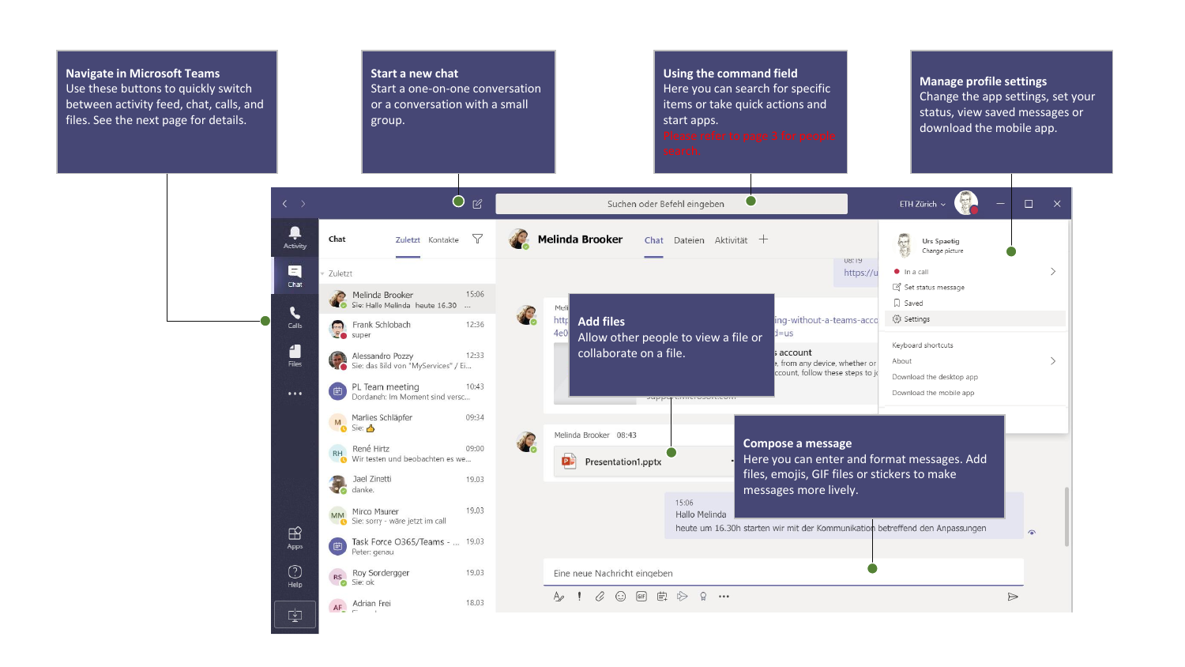## **Navigate in Microsoft Teams Start a new chat Using the command field Manage profile settings** Use these buttons to quickly switch Start a one-on-one conversation Here you can search for specific Change the app settings, set your items or take quick actions and between activity feed, chat, calls, and or a conversation with a small status, view saved messages or files. See the next page for details. group. start apps. download the mobile app.  $O$   $\varnothing$ Suchen oder Befehl eingeben  $\bullet$ ETH Zürich  $\sim$  $\Box$  $\mathsf{X}$ ۹ Zuletzt Kontakte Y Chat **Melinda Brooker** Chat Dateien Aktivität + Urs Spaetig Activity Change picture U8:19  $\blacksquare$  $\rightarrow$ Zuletzt https://u  $\bullet$  In a call Chat Set status message Melinda Brooker 15:06 Sie: Hallo Melinda heute 16.30 ... Q Saved Meli  $\epsilon$ **Add files** ing-without-a-teams-acco ξος Settings http Frank Schlobach 12:36 Calls  $d = us$  $4e$ Allow other people to view a file or Keyboard shortcuts 4 collaborate on a file. account Alessandro Pozzy 12:<br>Sie: das Bild von "MyServices" / Ei... 12:33  $\check{}$ About Files from any device, whether or ccount, follow these steps to jo Download the desktop app PL Team meeting  $10:43$  $\cdots$ Download the mobile app Dordaneh: Im Moment sind versc... M Marlies Schläpfer 09:34 Sie: 3 Melinda Brooker 08:43 **Compose a message** René Hirtz 09:00  $RH$ Wir testen und beobachten es we... Here you can enter and format messages. Add **PF** Presentation1.pptx files, emojis, GIF files or stickers to make Jael Zinetti 19.03

19.03

19.03

18.03

MM Mirco Maurer<br>Sie: sorry - wäre jetzt im call

RS Roy Sondergger<br>Sie: ok

AF Adrian Frei

Task Force O365/Teams - ... 19.03<br>Peter: genau

 $\mathbb{B}$ 

Apps

 $\odot$ 

**Help** 

中

 $\triangleright$ 

 $\bullet$ 

messages more lively.

heute um 16.30h starten wir mit der Kommunikation betreffend den Anpassungen

15:06

Eine neue Nachricht eingeben

A ! B © @ 直 它 Q …

Hallo Melinda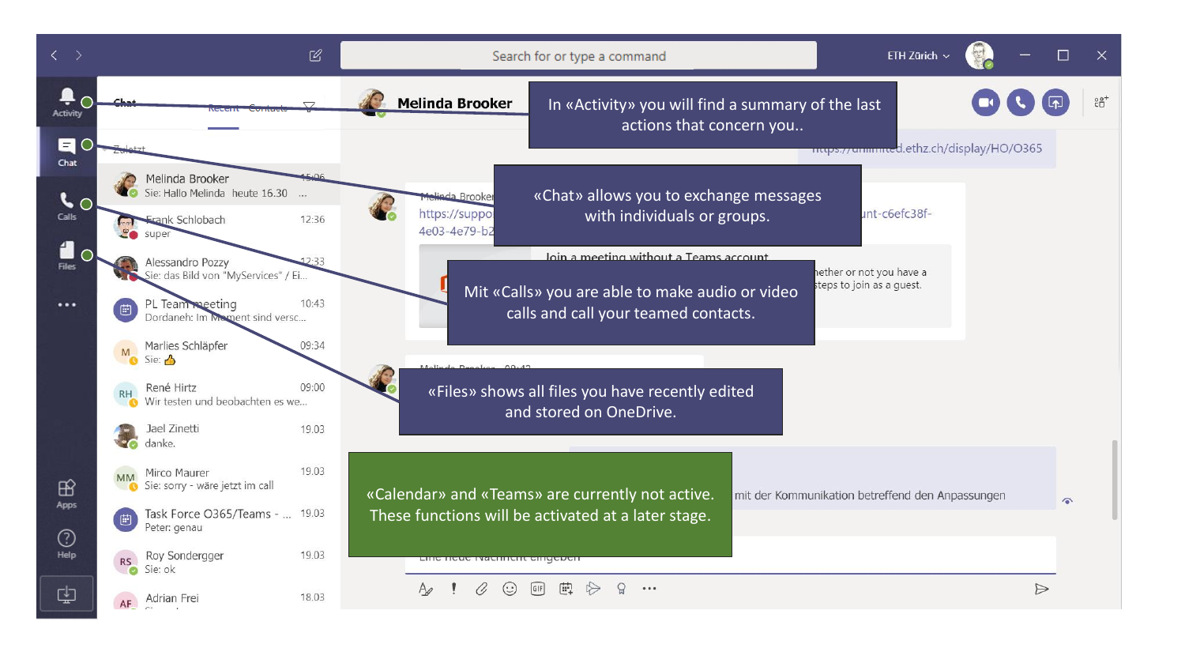